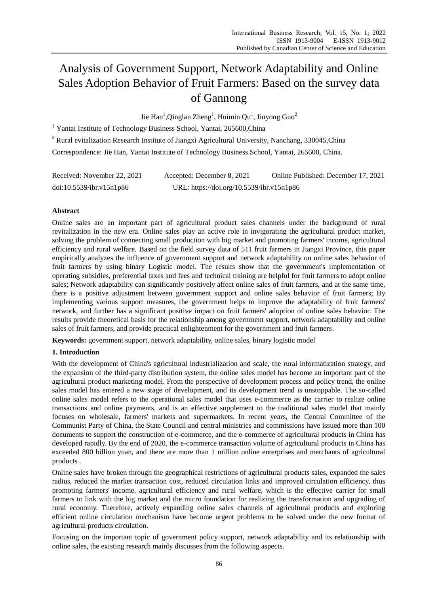# Analysis of Government Support, Network Adaptability and Online Sales Adoption Behavior of Fruit Farmers: Based on the survey data of Gannong

Jie Han<sup>1</sup>, Qinglan Zheng<sup>1</sup>, Huimin Qu<sup>1</sup>, Jinyong Guo<sup>2</sup>

<sup>1</sup> Yantai Institute of Technology Business School, Yantai, 265600, China

<sup>2</sup> Rural evitalization Research Institute of Jiangxi Agricultural University, Nanchang, 330045,China

Correspondence: Jie Han, Yantai Institute of Technology Business School, Yantai, 265600, China.

| Received: November 22, 2021 | Accepted: December 8, 2021                | Online Published: December 17, 2021 |
|-----------------------------|-------------------------------------------|-------------------------------------|
| doi:10.5539/ibr.v15n1p86    | URL: https://doi.org/10.5539/ibr.v15n1p86 |                                     |

# **Abstract**

Online sales are an important part of agricultural product sales channels under the background of rural revitalization in the new era. Online sales play an active role in invigorating the agricultural product market, solving the problem of connecting small production with big market and promoting farmers' income, agricultural efficiency and rural welfare. Based on the field survey data of 511 fruit farmers in Jiangxi Province, this paper empirically analyzes the influence of government support and network adaptability on online sales behavior of fruit farmers by using binary Logistic model. The results show that the government's implementation of operating subsidies, preferential taxes and fees and technical training are helpful for fruit farmers to adopt online sales; Network adaptability can significantly positively affect online sales of fruit farmers, and at the same time, there is a positive adjustment between government support and online sales behavior of fruit farmers; By implementing various support measures, the government helps to improve the adaptability of fruit farmers' network, and further has a significant positive impact on fruit farmers' adoption of online sales behavior. The results provide theoretical basis for the relationship among government support, network adaptability and online sales of fruit farmers, and provide practical enlightenment for the government and fruit farmers.

**Keywords:** government support, network adaptability, online sales, binary logistic model

# **1. Introduction**

With the development of China's agricultural industrialization and scale, the rural informatization strategy, and the expansion of the third-party distribution system, the online sales model has become an important part of the agricultural product marketing model. From the perspective of development process and policy trend, the online sales model has entered a new stage of development, and its development trend is unstoppable. The so-called online sales model refers to the operational sales model that uses e-commerce as the carrier to realize online transactions and online payments, and is an effective supplement to the traditional sales model that mainly focuses on wholesale, farmers' markets and supermarkets. In recent years, the Central Committee of the Communist Party of China, the State Council and central ministries and commissions have issued more than 100 documents to support the construction of e-commerce, and the e-commerce of agricultural products in China has developed rapidly. By the end of 2020, the e-commerce transaction volume of agricultural products in China has exceeded 800 billion yuan, and there are more than 1 million online enterprises and merchants of agricultural products .

Online sales have broken through the geographical restrictions of agricultural products sales, expanded the sales radius, reduced the market transaction cost, reduced circulation links and improved circulation efficiency, thus promoting farmers' income, agricultural efficiency and rural welfare, which is the effective carrier for small farmers to link with the big market and the micro foundation for realizing the transformation and upgrading of rural economy. Therefore, actively expanding online sales channels of agricultural products and exploring efficient online circulation mechanism have become urgent problems to be solved under the new format of agricultural products circulation.

Focusing on the important topic of government policy support, network adaptability and its relationship with online sales, the existing research mainly discusses from the following aspects.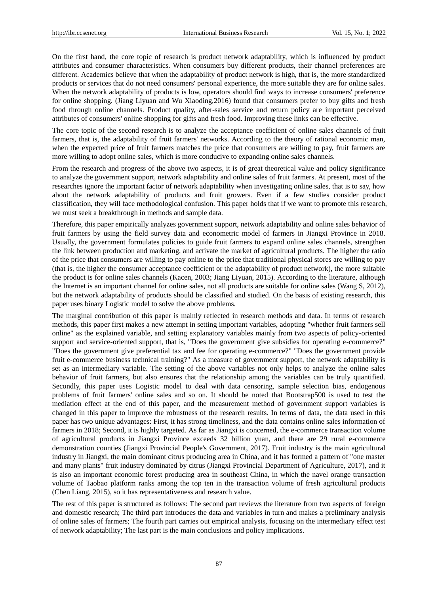On the first hand, the core topic of research is product network adaptability, which is influenced by product attributes and consumer characteristics. When consumers buy different products, their channel preferences are different. Academics believe that when the adaptability of product network is high, that is, the more standardized products or services that do not need consumers' personal experience, the more suitable they are for online sales. When the network adaptability of products is low, operators should find ways to increase consumers' preference for online shopping. (Jiang Liyuan and Wu Xiaoding,2016) found that consumers prefer to buy gifts and fresh food through online channels. Product quality, after-sales service and return policy are important perceived attributes of consumers' online shopping for gifts and fresh food. Improving these links can be effective.

The core topic of the second research is to analyze the acceptance coefficient of online sales channels of fruit farmers, that is, the adaptability of fruit farmers' networks. According to the theory of rational economic man, when the expected price of fruit farmers matches the price that consumers are willing to pay, fruit farmers are more willing to adopt online sales, which is more conducive to expanding online sales channels.

From the research and progress of the above two aspects, it is of great theoretical value and policy significance to analyze the government support, network adaptability and online sales of fruit farmers. At present, most of the researches ignore the important factor of network adaptability when investigating online sales, that is to say, how about the network adaptability of products and fruit growers. Even if a few studies consider product classification, they will face methodological confusion. This paper holds that if we want to promote this research, we must seek a breakthrough in methods and sample data.

Therefore, this paper empirically analyzes government support, network adaptability and online sales behavior of fruit farmers by using the field survey data and econometric model of farmers in Jiangxi Province in 2018. Usually, the government formulates policies to guide fruit farmers to expand online sales channels, strengthen the link between production and marketing, and activate the market of agricultural products. The higher the ratio of the price that consumers are willing to pay online to the price that traditional physical stores are willing to pay (that is, the higher the consumer acceptance coefficient or the adaptability of product network), the more suitable the product is for online sales channels (Kacen, 2003; Jiang Liyuan, 2015). According to the literature, although the Internet is an important channel for online sales, not all products are suitable for online sales (Wang S, 2012), but the network adaptability of products should be classified and studied. On the basis of existing research, this paper uses binary Logistic model to solve the above problems.

The marginal contribution of this paper is mainly reflected in research methods and data. In terms of research methods, this paper first makes a new attempt in setting important variables, adopting "whether fruit farmers sell online" as the explained variable, and setting explanatory variables mainly from two aspects of policy-oriented support and service-oriented support, that is, "Does the government give subsidies for operating e-commerce?" "Does the government give preferential tax and fee for operating e-commerce?" "Does the government provide fruit e-commerce business technical training?" As a measure of government support, the network adaptability is set as an intermediary variable. The setting of the above variables not only helps to analyze the online sales behavior of fruit farmers, but also ensures that the relationship among the variables can be truly quantified. Secondly, this paper uses Logistic model to deal with data censoring, sample selection bias, endogenous problems of fruit farmers' online sales and so on. It should be noted that Bootstrap500 is used to test the mediation effect at the end of this paper, and the measurement method of government support variables is changed in this paper to improve the robustness of the research results. In terms of data, the data used in this paper has two unique advantages: First, it has strong timeliness, and the data contains online sales information of farmers in 2018; Second, it is highly targeted. As far as Jiangxi is concerned, the e-commerce transaction volume of agricultural products in Jiangxi Province exceeds 32 billion yuan, and there are 29 rural e-commerce demonstration counties (Jiangxi Provincial People's Government, 2017). Fruit industry is the main agricultural industry in Jiangxi, the main dominant citrus producing area in China, and it has formed a pattern of "one master and many plants" fruit industry dominated by citrus (Jiangxi Provincial Department of Agriculture, 2017), and it is also an important economic forest producing area in southeast China, in which the navel orange transaction volume of Taobao platform ranks among the top ten in the transaction volume of fresh agricultural products (Chen Liang, 2015), so it has representativeness and research value.

The rest of this paper is structured as follows: The second part reviews the literature from two aspects of foreign and domestic research; The third part introduces the data and variables in turn and makes a preliminary analysis of online sales of farmers; The fourth part carries out empirical analysis, focusing on the intermediary effect test of network adaptability; The last part is the main conclusions and policy implications.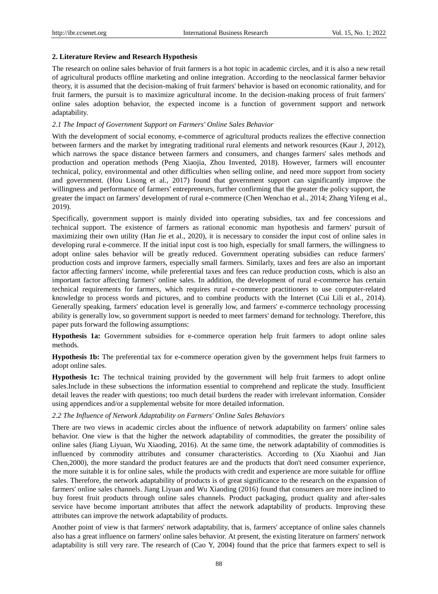#### **2. Literature Review and Research Hypothesis**

The research on online sales behavior of fruit farmers is a hot topic in academic circles, and it is also a new retail of agricultural products offline marketing and online integration. According to the neoclassical farmer behavior theory, it is assumed that the decision-making of fruit farmers' behavior is based on economic rationality, and for fruit farmers, the pursuit is to maximize agricultural income. In the decision-making process of fruit farmers' online sales adoption behavior, the expected income is a function of government support and network adaptability.

### *2.1 The Impact of Government Support on Farmers' Online Sales Behavior*

With the development of social economy, e-commerce of agricultural products realizes the effective connection between farmers and the market by integrating traditional rural elements and network resources (Kaur J, 2012), which narrows the space distance between farmers and consumers, and changes farmers' sales methods and production and operation methods (Peng Xiaojia, Zhou Invented, 2018). However, farmers will encounter technical, policy, environmental and other difficulties when selling online, and need more support from society and government. (Hou Lisong et al., 2017) found that government support can significantly improve the willingness and performance of farmers' entrepreneurs, further confirming that the greater the policy support, the greater the impact on farmers' development of rural e-commerce (Chen Wenchao et al., 2014; Zhang Yifeng et al., 2019).

Specifically, government support is mainly divided into operating subsidies, tax and fee concessions and technical support. The existence of farmers as rational economic man hypothesis and farmers' pursuit of maximizing their own utility (Han Jie et al., 2020), it is necessary to consider the input cost of online sales in developing rural e-commerce. If the initial input cost is too high, especially for small farmers, the willingness to adopt online sales behavior will be greatly reduced. Government operating subsidies can reduce farmers' production costs and improve farmers, especially small farmers. Similarly, taxes and fees are also an important factor affecting farmers' income, while preferential taxes and fees can reduce production costs, which is also an important factor affecting farmers' online sales. In addition, the development of rural e-commerce has certain technical requirements for farmers, which requires rural e-commerce practitioners to use computer-related knowledge to process words and pictures, and to combine products with the Internet (Cui Lili et al., 2014). Generally speaking, farmers' education level is generally low, and farmers' e-commerce technology processing ability is generally low, so government support is needed to meet farmers' demand for technology. Therefore, this paper puts forward the following assumptions:

**Hypothesis 1a:** Government subsidies for e-commerce operation help fruit farmers to adopt online sales methods.

**Hypothesis 1b:** The preferential tax for e-commerce operation given by the government helps fruit farmers to adopt online sales.

**Hypothesis 1c:** The technical training provided by the government will help fruit farmers to adopt online sales.Include in these subsections the information essential to comprehend and replicate the study. Insufficient detail leaves the reader with questions; too much detail burdens the reader with irrelevant information. Consider using appendices and/or a supplemental website for more detailed information.

#### *2.2 The Influence of Network Adaptability on Farmers' Online Sales Behaviors*

There are two views in academic circles about the influence of network adaptability on farmers' online sales behavior. One view is that the higher the network adaptability of commodities, the greater the possibility of online sales (Jiang Liyuan, Wu Xiaoding, 2016). At the same time, the network adaptability of commodities is influenced by commodity attributes and consumer characteristics. According to (Xu Xiaohui and Jian Chen,2000), the more standard the product features are and the products that don't need consumer experience, the more suitable it is for online sales, while the products with credit and experience are more suitable for offline sales. Therefore, the network adaptability of products is of great significance to the research on the expansion of farmers' online sales channels. Jiang Liyuan and Wu Xiaoding (2016) found that consumers are more inclined to buy forest fruit products through online sales channels. Product packaging, product quality and after-sales service have become important attributes that affect the network adaptability of products. Improving these attributes can improve the network adaptability of products.

Another point of view is that farmers' network adaptability, that is, farmers' acceptance of online sales channels also has a great influence on farmers' online sales behavior. At present, the existing literature on farmers' network adaptability is still very rare. The research of (Cao Y, 2004) found that the price that farmers expect to sell is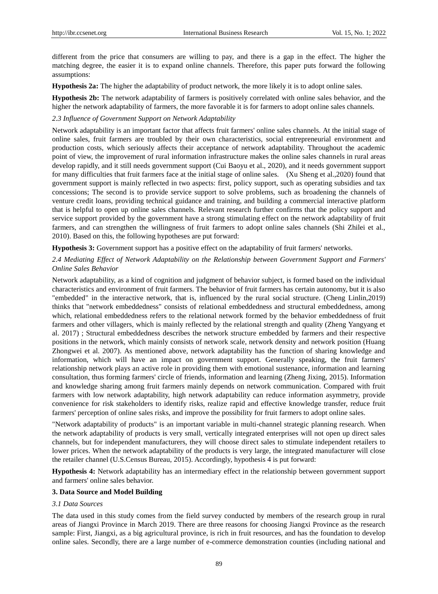different from the price that consumers are willing to pay, and there is a gap in the effect. The higher the matching degree, the easier it is to expand online channels. Therefore, this paper puts forward the following assumptions:

**Hypothesis 2a:** The higher the adaptability of product network, the more likely it is to adopt online sales.

**Hypothesis 2b:** The network adaptability of farmers is positively correlated with online sales behavior, and the higher the network adaptability of farmers, the more favorable it is for farmers to adopt online sales channels.

## *2.3 Influence of Government Support on Network Adaptability*

Network adaptability is an important factor that affects fruit farmers' online sales channels. At the initial stage of online sales, fruit farmers are troubled by their own characteristics, social entrepreneurial environment and production costs, which seriously affects their acceptance of network adaptability. Throughout the academic point of view, the improvement of rural information infrastructure makes the online sales channels in rural areas develop rapidly, and it still needs government support (Cui Baoyu et al., 2020), and it needs government support for many difficulties that fruit farmers face at the initial stage of online sales. (Xu Sheng et al.,2020) found that government support is mainly reflected in two aspects: first, policy support, such as operating subsidies and tax concessions; The second is to provide service support to solve problems, such as broadening the channels of venture credit loans, providing technical guidance and training, and building a commercial interactive platform that is helpful to open up online sales channels. Relevant research further confirms that the policy support and service support provided by the government have a strong stimulating effect on the network adaptability of fruit farmers, and can strengthen the willingness of fruit farmers to adopt online sales channels (Shi Zhilei et al., 2010). Based on this, the following hypotheses are put forward:

**Hypothesis 3:** Government support has a positive effect on the adaptability of fruit farmers' networks.

## *2.4 Mediating Effect of Network Adaptability on the Relationship between Government Support and Farmers' Online Sales Behavior*

Network adaptability, as a kind of cognition and judgment of behavior subject, is formed based on the individual characteristics and environment of fruit farmers. The behavior of fruit farmers has certain autonomy, but it is also "embedded" in the interactive network, that is, influenced by the rural social structure. (Cheng Linlin,2019) thinks that "network embeddedness" consists of relational embeddedness and structural embeddedness, among which, relational embeddedness refers to the relational network formed by the behavior embeddedness of fruit farmers and other villagers, which is mainly reflected by the relational strength and quality (Zheng Yangyang et al. 2017) ; Structural embeddedness describes the network structure embedded by farmers and their respective positions in the network, which mainly consists of network scale, network density and network position (Huang Zhongwei et al. 2007). As mentioned above, network adaptability has the function of sharing knowledge and information, which will have an impact on government support. Generally speaking, the fruit farmers' relationship network plays an active role in providing them with emotional sustenance, information and learning consultation, thus forming farmers' circle of friends, information and learning (Zheng Jixing, 2015). Information and knowledge sharing among fruit farmers mainly depends on network communication. Compared with fruit farmers with low network adaptability, high network adaptability can reduce information asymmetry, provide convenience for risk stakeholders to identify risks, realize rapid and effective knowledge transfer, reduce fruit farmers' perception of online sales risks, and improve the possibility for fruit farmers to adopt online sales.

"Network adaptability of products" is an important variable in multi-channel strategic planning research. When the network adaptability of products is very small, vertically integrated enterprises will not open up direct sales channels, but for independent manufacturers, they will choose direct sales to stimulate independent retailers to lower prices. When the network adaptability of the products is very large, the integrated manufacturer will close the retailer channel (U.S.Census Bureau, 2015). Accordingly, hypothesis 4 is put forward:

**Hypothesis 4:** Network adaptability has an intermediary effect in the relationship between government support and farmers' online sales behavior.

#### **3. Data Source and Model Building**

#### *3.1 Data Sources*

The data used in this study comes from the field survey conducted by members of the research group in rural areas of Jiangxi Province in March 2019. There are three reasons for choosing Jiangxi Province as the research sample: First, Jiangxi, as a big agricultural province, is rich in fruit resources, and has the foundation to develop online sales. Secondly, there are a large number of e-commerce demonstration counties (including national and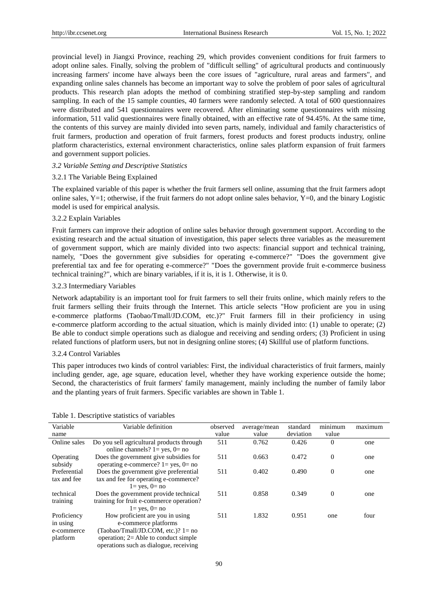provincial level) in Jiangxi Province, reaching 29, which provides convenient conditions for fruit farmers to adopt online sales. Finally, solving the problem of "difficult selling" of agricultural products and continuously increasing farmers' income have always been the core issues of "agriculture, rural areas and farmers", and expanding online sales channels has become an important way to solve the problem of poor sales of agricultural products. This research plan adopts the method of combining stratified step-by-step sampling and random sampling. In each of the 15 sample counties, 40 farmers were randomly selected. A total of 600 questionnaires were distributed and 541 questionnaires were recovered. After eliminating some questionnaires with missing information, 511 valid questionnaires were finally obtained, with an effective rate of 94.45%. At the same time, the contents of this survey are mainly divided into seven parts, namely, individual and family characteristics of fruit farmers, production and operation of fruit farmers, forest products and forest products industry, online platform characteristics, external environment characteristics, online sales platform expansion of fruit farmers and government support policies.

#### *3.2 Variable Setting and Descriptive Statistics*

#### 3.2.1 The Variable Being Explained

The explained variable of this paper is whether the fruit farmers sell online, assuming that the fruit farmers adopt online sales, Y=1; otherwise, if the fruit farmers do not adopt online sales behavior, Y=0, and the binary Logistic model is used for empirical analysis.

#### 3.2.2 Explain Variables

Fruit farmers can improve their adoption of online sales behavior through government support. According to the existing research and the actual situation of investigation, this paper selects three variables as the measurement of government support, which are mainly divided into two aspects: financial support and technical training, namely, "Does the government give subsidies for operating e-commerce?" "Does the government give preferential tax and fee for operating e-commerce?" "Does the government provide fruit e-commerce business technical training?", which are binary variables, if it is, it is 1. Otherwise, it is 0.

#### 3.2.3 Intermediary Variables

Network adaptability is an important tool for fruit farmers to sell their fruits online, which mainly refers to the fruit farmers selling their fruits through the Internet. This article selects "How proficient are you in using e-commerce platforms (Taobao/Tmall/JD.COM, etc.)?" Fruit farmers fill in their proficiency in using e-commerce platform according to the actual situation, which is mainly divided into: (1) unable to operate; (2) Be able to conduct simple operations such as dialogue and receiving and sending orders; (3) Proficient in using related functions of platform users, but not in designing online stores; (4) Skillful use of platform functions.

#### 3.2.4 Control Variables

This paper introduces two kinds of control variables: First, the individual characteristics of fruit farmers, mainly including gender, age, age square, education level, whether they have working experience outside the home; Second, the characteristics of fruit farmers' family management, mainly including the number of family labor and the planting years of fruit farmers. Specific variables are shown in Table 1.

| Variable                                          | Variable definition                                                                                                                         | observed | average/mean | standard  | minimum  | maximum |
|---------------------------------------------------|---------------------------------------------------------------------------------------------------------------------------------------------|----------|--------------|-----------|----------|---------|
| name                                              |                                                                                                                                             | value    | value        | deviation | value    |         |
| Online sales                                      | Do you sell agricultural products through<br>online channels? $1 = yes$ , $0 = no$                                                          | 511      | 0.762        | 0.426     | $\theta$ | one     |
| Operating<br>subsidy                              | Does the government give subsidies for<br>operating e-commerce? $1 = yes$ , $0 = no$                                                        | 511      | 0.663        | 0.472     | $\theta$ | one     |
| Preferential<br>tax and fee                       | Does the government give preferential<br>tax and fee for operating e-commerce?<br>$l = yes$ , $0 = no$                                      | 511      | 0.402        | 0.490     | $\theta$ | one     |
| technical<br>training                             | Does the government provide technical<br>training for fruit e-commerce operation?<br>$l = ves$ , $0 = no$                                   | 511      | 0.858        | 0.349     | $\theta$ | one     |
| Proficiency<br>in using<br>e-commerce<br>platform | How proficient are you in using<br>e-commerce platforms<br>(Taobao/Tmall/JD.COM, etc.)? $1 = no$<br>operation: $2 =$ Able to conduct simple | 511      | 1.832        | 0.951     | one      | four    |

#### Table 1. Descriptive statistics of variables

operations such as dialogue, receiving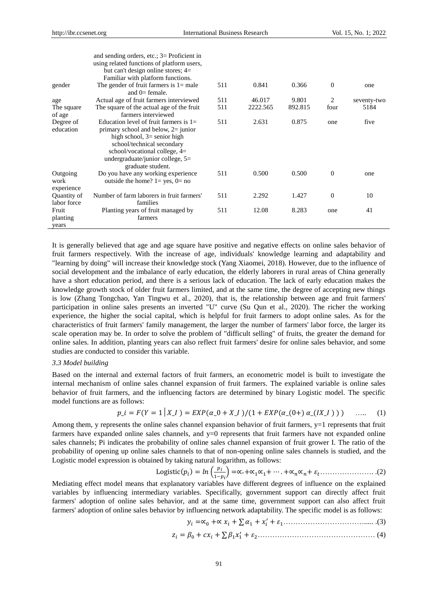and sending orders, etc.; 3

|             | and sending orders, $\text{e.c.}$ , $\text{S}$ = Proficient in |     |          |         |                |             |
|-------------|----------------------------------------------------------------|-----|----------|---------|----------------|-------------|
|             | using related functions of platform users,                     |     |          |         |                |             |
|             | but can't design online stores; $4=$                           |     |          |         |                |             |
|             | Familiar with platform functions.                              |     |          |         |                |             |
| gender      | The gender of fruit farmers is $l = male$                      | 511 | 0.841    | 0.366   | $\Omega$       | one         |
|             | and $0=$ female.                                               |     |          |         |                |             |
| age         | Actual age of fruit farmers interviewed                        | 511 | 46.017   | 9.801   | $\mathfrak{D}$ | seventy-two |
| The square  | The square of the actual age of the fruit                      | 511 | 2222.565 | 892.815 | four           | 5184        |
| of age      | farmers interviewed                                            |     |          |         |                |             |
| Degree of   | Education level of fruit farmers is $1=$                       | 511 | 2.631    | 0.875   | one            | five        |
| education   | primary school and below, $2 =$ junior                         |     |          |         |                |             |
|             | high school, $3=$ senior high                                  |     |          |         |                |             |
|             | school/technical secondary                                     |     |          |         |                |             |
|             | school/vocational college, $4=$                                |     |          |         |                |             |
|             | undergraduate/junior college, $5=$                             |     |          |         |                |             |
|             | graduate student.                                              |     |          |         |                |             |
| Outgoing    | Do you have any working experience                             | 511 | 0.500    | 0.500   | $\Omega$       | one         |
| work        | outside the home? $1 = yes$ , $0 = no$                         |     |          |         |                |             |
|             |                                                                |     |          |         |                |             |
| experience  | Number of farm laborers in fruit farmers'                      |     | 2.292    | 1.427   | $\Omega$       | 10          |
| Quantity of |                                                                | 511 |          |         |                |             |
| labor force | families                                                       |     |          |         |                |             |
| Fruit       | Planting years of fruit managed by                             | 511 | 12.08    | 8.283   | one            | 41          |
| planting    | farmers                                                        |     |          |         |                |             |
| vears       |                                                                |     |          |         |                |             |

It is generally believed that age and age square have positive and negative effects on online sales behavior of fruit farmers respectively. With the increase of age, individuals' knowledge learning and adaptability and "learning by doing" will increase their knowledge stock (Yang Xiaomei, 2018). However, due to the influence of social development and the imbalance of early education, the elderly laborers in rural areas of China generally have a short education period, and there is a serious lack of education. The lack of early education makes the knowledge growth stock of older fruit farmers limited, and at the same time, the degree of accepting new things is low (Zhang Tongchao, Yan Tingwu et al., 2020), that is, the relationship between age and fruit farmers' participation in online sales presents an inverted "U" curve (Su Qun et al., 2020). The richer the working experience, the higher the social capital, which is helpful for fruit farmers to adopt online sales. As for the characteristics of fruit farmers' family management, the larger the number of farmers' labor force, the larger its scale operation may be. In order to solve the problem of "difficult selling" of fruits, the greater the demand for online sales. In addition, planting years can also reflect fruit farmers' desire for online sales behavior, and some studies are conducted to consider this variable.

#### *3.3 Model building*

Based on the internal and external factors of fruit farmers, an econometric model is built to investigate the internal mechanism of online sales channel expansion of fruit farmers. The explained variable is online sales behavior of fruit farmers, and the influencing factors are determined by binary Logistic model. The specific model functions are as follows:

$$
p_{\perp} = F(Y = 1 | X_{\perp} I) = EXP(\alpha_{\perp} 0 + X_{\perp} I)/(1 + EXP(\alpha_{\perp} (0 +) \alpha_{\perp} (IX_{\perp} I))) \quad \dots \quad (1)
$$

Among them, y represents the online sales channel expansion behavior of fruit farmers,  $y=1$  represents that fruit farmers have expanded online sales channels, and y=0 represents that fruit farmers have not expanded online sales channels; Pi indicates the probability of online sales channel expansion of fruit grower I. The ratio of the probability of opening up online sales channels to that of non-opening online sales channels is studied, and the Logistic model expression is obtained by taking natural logarithm, as follows:

Logistic
$$
(p_i)
$$
 =  $ln\left(\frac{p_i}{1-p_i}\right)$  =  $\alpha_0 + \alpha_1 \alpha_1 + \dots + \alpha_n \alpha_n + \varepsilon_t$ .................(2)

Mediating effect model means that explanatory variables have different degrees of influence on the explained variables by influencing intermediary variables. Specifically, government support can directly affect fruit farmers' adoption of online sales behavior, and at the same time, government support can also affect fruit farmers' adoption of online sales behavior by influencing network adaptability. The specific model is as follows:

 =∝<sup>0</sup> +∝ + ∑ <sup>1</sup> + ′ + 1……………………………..... .(3)

 = <sup>0</sup> + + ∑ 1<sup>1</sup> ′ + 2………………………………………… (4)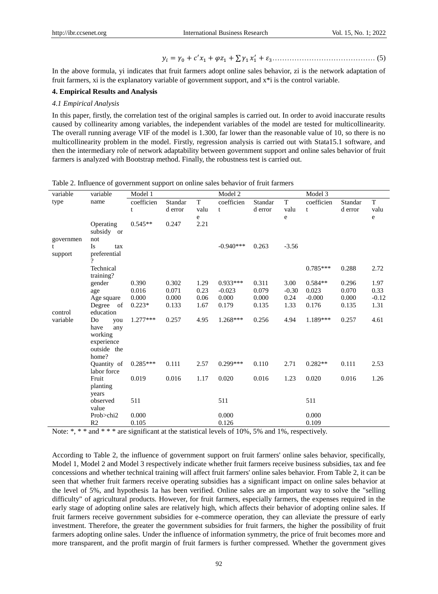= <sup>0</sup> + ′<sup>1</sup> + <sup>1</sup> + ∑ <sup>1</sup> <sup>1</sup> ′ +3…………………………………… (5)

In the above formula, yi indicates that fruit farmers adopt online sales behavior, zi is the network adaptation of fruit farmers, xi is the explanatory variable of government support, and x\*i is the control variable.

#### **4. Empirical Results and Analysis**

#### *4.1 Empirical Analysis*

In this paper, firstly, the correlation test of the original samples is carried out. In order to avoid inaccurate results caused by collinearity among variables, the independent variables of the model are tested for multicollinearity. The overall running average VIF of the model is 1.300, far lower than the reasonable value of 10, so there is no multicollinearity problem in the model. Firstly, regression analysis is carried out with Stata15.1 software, and then the intermediary role of network adaptability between government support and online sales behavior of fruit farmers is analyzed with Bootstrap method. Finally, the robustness test is carried out.

| variable  | variable                 | Model 1    |         |             | Model 2     |         |         | Model 3    |         |             |
|-----------|--------------------------|------------|---------|-------------|-------------|---------|---------|------------|---------|-------------|
| type      | name                     | coefficien | Standar | $\mathbf T$ | coefficien  | Standar | T       | coefficien | Standar | $\mathbf T$ |
|           |                          | t          | d error | valu        | t           | d error | valu    | t          | d error | valu        |
|           |                          |            |         | e           |             |         | e       |            |         | e           |
|           | Operating                | $0.545**$  | 0.247   | 2.21        |             |         |         |            |         |             |
|           | subsidy or               |            |         |             |             |         |         |            |         |             |
| governmen | not                      |            |         |             |             |         |         |            |         |             |
| t         | Is<br>tax                |            |         |             | $-0.940***$ | 0.263   | $-3.56$ |            |         |             |
| support   | preferential<br>$\gamma$ |            |         |             |             |         |         |            |         |             |
|           | Technical                |            |         |             |             |         |         | $0.785***$ | 0.288   | 2.72        |
|           | training?                |            |         |             |             |         |         |            |         |             |
|           | gender                   | 0.390      | 0.302   | 1.29        | $0.933***$  | 0.311   | 3.00    | $0.584**$  | 0.296   | 1.97        |
|           | age                      | 0.016      | 0.071   | 0.23        | $-0.023$    | 0.079   | $-0.30$ | 0.023      | 0.070   | 0.33        |
|           | Age square               | 0.000      | 0.000   | 0.06        | 0.000       | 0.000   | 0.24    | $-0.000$   | 0.000   | $-0.12$     |
|           | Degree of                | $0.223*$   | 0.133   | 1.67        | 0.179       | 0.135   | 1.33    | 0.176      | 0.135   | 1.31        |
| control   | education                |            |         |             |             |         |         |            |         |             |
| variable  | Do<br>you                | $1.277***$ | 0.257   | 4.95        | $1.268***$  | 0.256   | 4.94    | 1.189***   | 0.257   | 4.61        |
|           | have<br>any              |            |         |             |             |         |         |            |         |             |
|           | working                  |            |         |             |             |         |         |            |         |             |
|           | experience               |            |         |             |             |         |         |            |         |             |
|           | outside the              |            |         |             |             |         |         |            |         |             |
|           | home?                    |            |         |             |             |         |         |            |         |             |
|           | Quantity of              | $0.285***$ | 0.111   | 2.57        | $0.299***$  | 0.110   | 2.71    | $0.282**$  | 0.111   | 2.53        |
|           | labor force              |            |         |             |             |         |         |            |         |             |
|           | Fruit                    | 0.019      | 0.016   | 1.17        | 0.020       | 0.016   | 1.23    | 0.020      | 0.016   | 1.26        |
|           | planting                 |            |         |             |             |         |         |            |         |             |
|           | years                    |            |         |             |             |         |         |            |         |             |
|           | observed                 | 511        |         |             | 511         |         |         | 511        |         |             |
|           | value                    |            |         |             |             |         |         |            |         |             |
|           | Prob>chi2                | 0.000      |         |             | 0.000       |         |         | 0.000      |         |             |
|           | R <sub>2</sub>           | 0.105      |         |             | 0.126       |         |         | 0.109      |         |             |

Table 2. Influence of government support on online sales behavior of fruit farmers

Note:  $\ast$ ,  $\ast \ast$  and  $\ast \ast \ast$  are significant at the statistical levels of 10%, 5% and 1%, respectively.

According to Table 2, the influence of government support on fruit farmers' online sales behavior, specifically, Model 1, Model 2 and Model 3 respectively indicate whether fruit farmers receive business subsidies, tax and fee concessions and whether technical training will affect fruit farmers' online sales behavior. From Table 2, it can be seen that whether fruit farmers receive operating subsidies has a significant impact on online sales behavior at the level of 5%, and hypothesis 1a has been verified. Online sales are an important way to solve the "selling difficulty" of agricultural products. However, for fruit farmers, especially farmers, the expenses required in the early stage of adopting online sales are relatively high, which affects their behavior of adopting online sales. If fruit farmers receive government subsidies for e-commerce operation, they can alleviate the pressure of early investment. Therefore, the greater the government subsidies for fruit farmers, the higher the possibility of fruit farmers adopting online sales. Under the influence of information symmetry, the price of fruit becomes more and more transparent, and the profit margin of fruit farmers is further compressed. Whether the government gives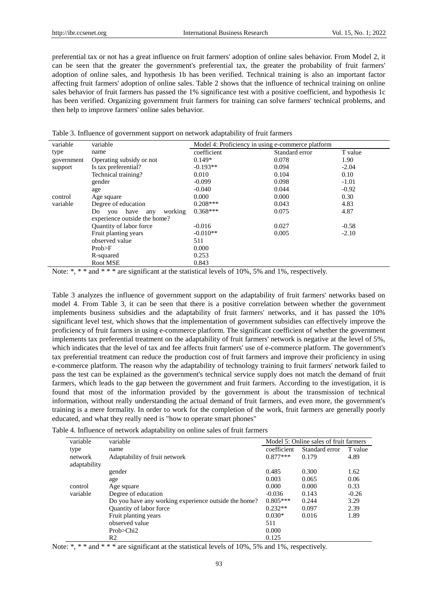preferential tax or not has a great influence on fruit farmers' adoption of online sales behavior. From Model 2, it can be seen that the greater the government's preferential tax, the greater the probability of fruit farmers' adoption of online sales, and hypothesis 1b has been verified. Technical training is also an important factor affecting fruit farmers' adoption of online sales. Table 2 shows that the influence of technical training on online sales behavior of fruit farmers has passed the 1% significance test with a positive coefficient, and hypothesis 1c has been verified. Organizing government fruit farmers for training can solve farmers' technical problems, and then help to improve farmers' online sales behavior.

| variable   | variable                            | Model 4: Proficiency in using e-commerce platform |                |         |  |  |
|------------|-------------------------------------|---------------------------------------------------|----------------|---------|--|--|
| type       | name                                | coefficient                                       | Standard error | T value |  |  |
| government | Operating subsidy or not            | $0.149*$                                          | 0.078          | 1.90    |  |  |
| support    | Is tax preferential?                | $-0.193**$                                        | 0.094          | $-2.04$ |  |  |
|            | Technical training?                 | 0.010                                             | 0.104          | 0.10    |  |  |
|            | gender                              | $-0.099$                                          | 0.098          | $-1.01$ |  |  |
|            | age                                 | $-0.040$                                          | 0.044          | $-0.92$ |  |  |
| control    | Age square                          | 0.000                                             | 0.000          | 0.30    |  |  |
| variable   | Degree of education                 | $0.208***$                                        | 0.043          | 4.83    |  |  |
|            | working<br>have<br>Do<br>vou<br>any | $0.368***$                                        | 0.075          | 4.87    |  |  |
|            | experience outside the home?        |                                                   |                |         |  |  |
|            | Quantity of labor force             | $-0.016$                                          | 0.027          | $-0.58$ |  |  |
|            | Fruit planting years                | $-0.010**$                                        | 0.005          | $-2.10$ |  |  |
|            | observed value                      | 511                                               |                |         |  |  |
|            | Prob>F                              | 0.000                                             |                |         |  |  |
|            | R-squared                           | 0.253                                             |                |         |  |  |
|            | Root MSE                            | 0.843                                             |                |         |  |  |

|  | Table 3. Influence of government support on network adaptability of fruit farmers |
|--|-----------------------------------------------------------------------------------|
|  |                                                                                   |

Note:  $\ast$ ,  $\ast \ast$  and  $\ast \ast \ast$  are significant at the statistical levels of 10%, 5% and 1%, respectively.

Table 3 analyzes the influence of government support on the adaptability of fruit farmers' networks based on model 4. From Table 3, it can be seen that there is a positive correlation between whether the government implements business subsidies and the adaptability of fruit farmers' networks, and it has passed the 10% significant level test, which shows that the implementation of government subsidies can effectively improve the proficiency of fruit farmers in using e-commerce platform. The significant coefficient of whether the government implements tax preferential treatment on the adaptability of fruit farmers' network is negative at the level of 5%, which indicates that the level of tax and fee affects fruit farmers' use of e-commerce platform. The government's tax preferential treatment can reduce the production cost of fruit farmers and improve their proficiency in using e-commerce platform. The reason why the adaptability of technology training to fruit farmers' network failed to pass the test can be explained as the government's technical service supply does not match the demand of fruit farmers, which leads to the gap between the government and fruit farmers. According to the investigation, it is found that most of the information provided by the government is about the transmission of technical information, without really understanding the actual demand of fruit farmers, and even more, the government's training is a mere formality. In order to work for the completion of the work, fruit farmers are generally poorly educated, and what they really need is "how to operate smart phones"

|  |  |  | Table 4. Influence of network adaptability on online sales of fruit farmers |
|--|--|--|-----------------------------------------------------------------------------|
|  |  |  |                                                                             |

| variable                | variable                                             |             | Model 5: Online sales of fruit farmers |         |
|-------------------------|------------------------------------------------------|-------------|----------------------------------------|---------|
| type                    | name                                                 | coefficient | Standard error                         | T value |
| network<br>adaptability | Adaptability of fruit network                        | $0.877***$  | 0.179                                  | 4.89    |
|                         | gender                                               | 0.485       | 0.300                                  | 1.62    |
|                         | age                                                  | 0.003       | 0.065                                  | 0.06    |
| control                 | Age square                                           | 0.000       | 0.000                                  | 0.33    |
| variable                | Degree of education                                  | $-0.036$    | 0.143                                  | $-0.26$ |
|                         | Do you have any working experience outside the home? | $0.805***$  | 0.244                                  | 3.29    |
|                         | Quantity of labor force                              | $0.232**$   | 0.097                                  | 2.39    |
|                         | Fruit planting years                                 | $0.030*$    | 0.016                                  | 1.89    |
|                         | observed value                                       | 511         |                                        |         |
|                         | Prob>Chi2                                            | 0.000       |                                        |         |
|                         | R <sub>2</sub>                                       | 0.125       |                                        |         |

Note: \*, \* \* and \* \* \* are significant at the statistical levels of 10%, 5% and 1%, respectively.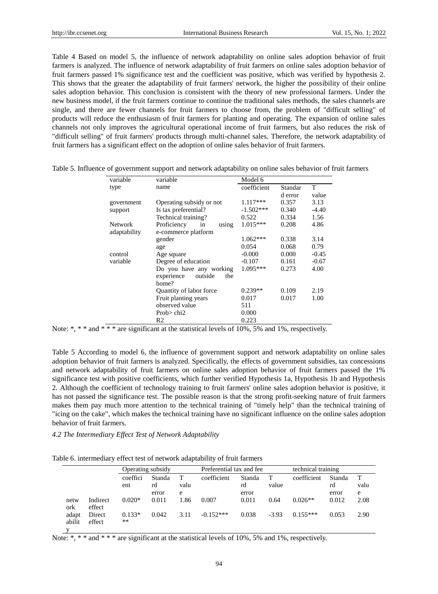Table 4 Based on model 5, the influence of network adaptability on online sales adoption behavior of fruit farmers is analyzed. The influence of network adaptability of fruit farmers on online sales adoption behavior of fruit farmers passed 1% significance test and the coefficient was positive, which was verified by hypothesis 2. This shows that the greater the adaptability of fruit farmers' network, the higher the possibility of their online sales adoption behavior. This conclusion is consistent with the theory of new professional farmers. Under the new business model, if the fruit farmers continue to continue the traditional sales methods, the sales channels are single, and there are fewer channels for fruit farmers to choose from, the problem of "difficult selling" of products will reduce the enthusiasm of fruit farmers for planting and operating. The expansion of online sales channels not only improves the agricultural operational income of fruit farmers, but also reduces the risk of "difficult selling" of fruit farmers' products through multi-channel sales. Therefore, the network adaptability of fruit farmers has a significant effect on the adoption of online sales behavior of fruit farmers.

| variable       | variable                     | Model 6     |         |         |
|----------------|------------------------------|-------------|---------|---------|
| type           | name                         | coefficient | Standar | T       |
|                |                              |             | d error | value   |
| government     | Operating subsidy or not     | 1.117***    | 0.357   | 3.13    |
| support        | Is tax preferential?         | $-1.502***$ | 0.340   | $-4.40$ |
|                | Technical training?          | 0.522       | 0.334   | 1.56    |
| <b>Network</b> | Proficiency<br>in<br>using   | $1.015***$  | 0.208   | 4.86    |
| adaptability   | e-commerce platform          |             |         |         |
|                | gender                       | $1.062***$  | 0.338   | 3.14    |
|                | age                          | 0.054       | 0.068   | 0.79    |
| control        | Age square                   | $-0.000$    | 0.000   | $-0.45$ |
| variable       | Degree of education          | $-0.107$    | 0.161   | $-0.67$ |
|                | Do you have any working      | $1.095***$  | 0.273   | 4.00    |
|                | the<br>experience<br>outside |             |         |         |
|                | home?                        |             |         |         |
|                | Quantity of labor force      | $0.239**$   | 0.109   | 2.19    |
|                | Fruit planting years         | 0.017       | 0.017   | 1.00    |
|                | observed value               | 511         |         |         |
|                | Prob $>$ chi2                | 0.000       |         |         |
|                | R2                           | 0.223       |         |         |

| Table 5. Influence of government support and network adaptability on online sales behavior of fruit farmers |  |  |  |
|-------------------------------------------------------------------------------------------------------------|--|--|--|
|                                                                                                             |  |  |  |

Note:  $\ast$ ,  $\ast \ast$  and  $\ast \ast \ast$  are significant at the statistical levels of 10%, 5% and 1%, respectively.

Table 5 According to model 6, the influence of government support and network adaptability on online sales adoption behavior of fruit farmers is analyzed. Specifically, the effects of government subsidies, tax concessions and network adaptability of fruit farmers on online sales adoption behavior of fruit farmers passed the 1% significance test with positive coefficients, which further verified Hypothesis 1a, Hypothesis 1b and Hypothesis 2. Although the coefficient of technology training to fruit farmers' online sales adoption behavior is positive, it has not passed the significance test. The possible reason is that the strong profit-seeking nature of fruit farmers makes them pay much more attention to the technical training of "timely help" than the technical training of "icing on the cake", which makes the technical training have no significant influence on the online sales adoption behavior of fruit farmers.

## *4.2 The Intermediary Effect Test of Network Adaptability*

Table 6. intermediary effect test of network adaptability of fruit farmers

|                 |                    |                 | Operating subsidy |           |             | Preferential tax and fee |            |             | technical training |           |  |
|-----------------|--------------------|-----------------|-------------------|-----------|-------------|--------------------------|------------|-------------|--------------------|-----------|--|
|                 |                    | coeffici<br>ent | Standa<br>rd      | т<br>valu | coefficient | Standa<br>rd             | T<br>value | coefficient | Standa<br>rd       | T<br>valu |  |
|                 |                    |                 | error             | e         |             | error                    |            |             | error              | e         |  |
| netw<br>ork     | Indirect<br>effect | $0.020*$        | 0.011             | 1.86      | 0.007       | 0.011                    | 0.64       | $0.026**$   | 0.012              | 2.08      |  |
| adapt<br>abilit | Direct<br>effect   | $0.133*$<br>**  | 0.042             | 3.11      | $-0.152***$ | 0.038                    | $-3.93$    | $0.155***$  | 0.053              | 2.90      |  |

Note: \*, \* \* and \* \* \* are significant at the statistical levels of 10%, 5% and 1%, respectively.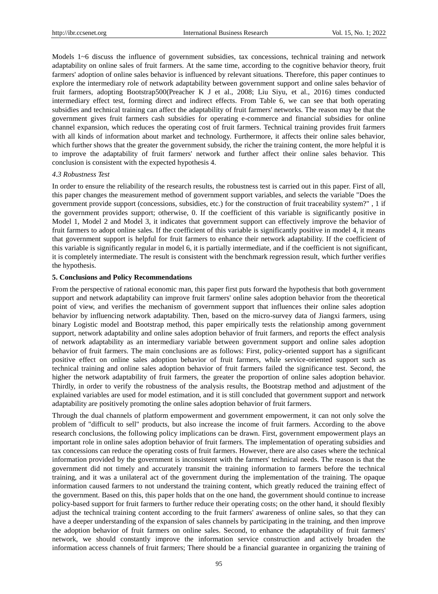Models 1~6 discuss the influence of government subsidies, tax concessions, technical training and network adaptability on online sales of fruit farmers. At the same time, according to the cognitive behavior theory, fruit farmers' adoption of online sales behavior is influenced by relevant situations. Therefore, this paper continues to explore the intermediary role of network adaptability between government support and online sales behavior of fruit farmers, adopting Bootstrap500(Preacher K J et al., 2008; Liu Siyu, et al., 2016) times conducted intermediary effect test, forming direct and indirect effects. From Table 6, we can see that both operating subsidies and technical training can affect the adaptability of fruit farmers' networks. The reason may be that the government gives fruit farmers cash subsidies for operating e-commerce and financial subsidies for online channel expansion, which reduces the operating cost of fruit farmers. Technical training provides fruit farmers with all kinds of information about market and technology. Furthermore, it affects their online sales behavior, which further shows that the greater the government subsidy, the richer the training content, the more helpful it is to improve the adaptability of fruit farmers' network and further affect their online sales behavior. This conclusion is consistent with the expected hypothesis 4.

#### *4.3 Robustness Test*

In order to ensure the reliability of the research results, the robustness test is carried out in this paper. First of all, this paper changes the measurement method of government support variables, and selects the variable "Does the government provide support (concessions, subsidies, etc.) for the construction of fruit traceability system?" , 1 if the government provides support; otherwise, 0. If the coefficient of this variable is significantly positive in Model 1, Model 2 and Model 3, it indicates that government support can effectively improve the behavior of fruit farmers to adopt online sales. If the coefficient of this variable is significantly positive in model 4, it means that government support is helpful for fruit farmers to enhance their network adaptability. If the coefficient of this variable is significantly regular in model 6, it is partially intermediate, and if the coefficient is not significant, it is completely intermediate. The result is consistent with the benchmark regression result, which further verifies the hypothesis.

#### **5. Conclusions and Policy Recommendations**

From the perspective of rational economic man, this paper first puts forward the hypothesis that both government support and network adaptability can improve fruit farmers' online sales adoption behavior from the theoretical point of view, and verifies the mechanism of government support that influences their online sales adoption behavior by influencing network adaptability. Then, based on the micro-survey data of Jiangxi farmers, using binary Logistic model and Bootstrap method, this paper empirically tests the relationship among government support, network adaptability and online sales adoption behavior of fruit farmers, and reports the effect analysis of network adaptability as an intermediary variable between government support and online sales adoption behavior of fruit farmers. The main conclusions are as follows: First, policy-oriented support has a significant positive effect on online sales adoption behavior of fruit farmers, while service-oriented support such as technical training and online sales adoption behavior of fruit farmers failed the significance test. Second, the higher the network adaptability of fruit farmers, the greater the proportion of online sales adoption behavior. Thirdly, in order to verify the robustness of the analysis results, the Bootstrap method and adjustment of the explained variables are used for model estimation, and it is still concluded that government support and network adaptability are positively promoting the online sales adoption behavior of fruit farmers.

Through the dual channels of platform empowerment and government empowerment, it can not only solve the problem of "difficult to sell" products, but also increase the income of fruit farmers. According to the above research conclusions, the following policy implications can be drawn. First, government empowerment plays an important role in online sales adoption behavior of fruit farmers. The implementation of operating subsidies and tax concessions can reduce the operating costs of fruit farmers. However, there are also cases where the technical information provided by the government is inconsistent with the farmers' technical needs. The reason is that the government did not timely and accurately transmit the training information to farmers before the technical training, and it was a unilateral act of the government during the implementation of the training. The opaque information caused farmers to not understand the training content, which greatly reduced the training effect of the government. Based on this, this paper holds that on the one hand, the government should continue to increase policy-based support for fruit farmers to further reduce their operating costs; on the other hand, it should flexibly adjust the technical training content according to the fruit farmers' awareness of online sales, so that they can have a deeper understanding of the expansion of sales channels by participating in the training, and then improve the adoption behavior of fruit farmers on online sales. Second, to enhance the adaptability of fruit farmers' network, we should constantly improve the information service construction and actively broaden the information access channels of fruit farmers; There should be a financial guarantee in organizing the training of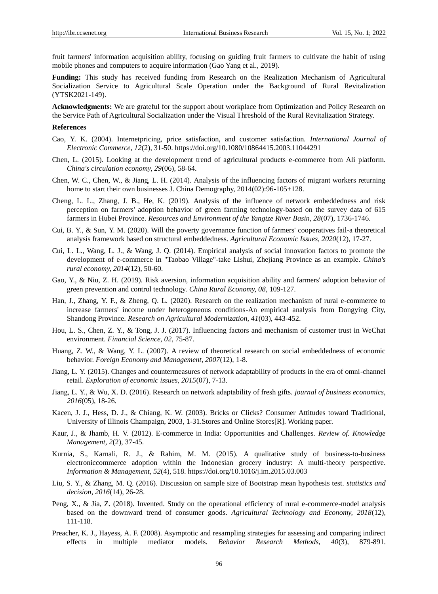fruit farmers' information acquisition ability, focusing on guiding fruit farmers to cultivate the habit of using mobile phones and computers to acquire information (Gao Yang et al., 2019).

**Funding:** This study has received funding from Research on the Realization Mechanism of Agricultural Socialization Service to Agricultural Scale Operation under the Background of Rural Revitalization (YTSK2021-149).

**Acknowledgments:** We are grateful for the support about workplace from Optimization and Policy Research on the Service Path of Agricultural Socialization under the Visual Threshold of the Rural Revitalization Strategy.

#### **References**

- Cao, Y. K. (2004). Internetpricing, price satisfaction, and customer satisfaction. *International Journal of Electronic Commerce, 12*(2), 31-50. https://doi.org/10.1080/10864415.2003.11044291
- Chen, L. (2015). Looking at the development trend of agricultural products e-commerce from Ali platform. *China's circulation economy, 29*(06), 58-64.
- Chen, W. C., Chen, W., & Jiang, L. H. (2014). Analysis of the influencing factors of migrant workers returning home to start their own businesses J. China Demography, 2014(02):96-105+128.
- Cheng, L. L., Zhang, J. B., He, K. (2019). Analysis of the influence of network embeddedness and risk perception on farmers' adoption behavior of green farming technology-based on the survey data of 615 farmers in Hubei Province. *Resources and Environment of the Yangtze River Basin, 28*(07), 1736-1746.
- Cui, B. Y., & Sun, Y. M. (2020). Will the poverty governance function of farmers' cooperatives fail-a theoretical analysis framework based on structural embeddedness. *Agricultural Economic Issues, 2020*(12), 17-27.
- Cui, L. L., Wang, L. J., & Wang, J. Q. (2014). Empirical analysis of social innovation factors to promote the development of e-commerce in "Taobao Village"-take Lishui, Zhejiang Province as an example. *China's rural economy, 2014*(12), 50-60.
- Gao, Y., & Niu, Z. H. (2019). Risk aversion, information acquisition ability and farmers' adoption behavior of green prevention and control technology. *China Rural Economy, 08,* 109-127.
- Han, J., Zhang, Y. F., & Zheng, Q. L. (2020). Research on the realization mechanism of rural e-commerce to increase farmers' income under heterogeneous conditions-An empirical analysis from Dongying City, Shandong Province. *Research on Agricultural Modernization, 41*(03), 443-452.
- Hou, L. S., Chen, Z. Y., & Tong, J. J. (2017). Influencing factors and mechanism of customer trust in WeChat environment. *Financial Science, 02,* 75-87.
- Huang, Z. W., & Wang, Y. L. (2007). A review of theoretical research on social embeddedness of economic behavior. *Foreign Economy and Management, 2007*(12), 1-8.
- Jiang, L. Y. (2015). Changes and countermeasures of network adaptability of products in the era of omni-channel retail. *Exploration of economic issues, 2015*(07), 7-13.
- Jiang, L. Y., & Wu, X. D. (2016). Research on network adaptability of fresh gifts. *journal of business economics, 2016*(05), 18-26.
- Kacen, J. J., Hess, D. J., & Chiang, K. W. (2003). Bricks or Clicks? Consumer Attitudes toward Traditional, University of Illinois Champaign, 2003, 1-31.Stores and Online Stores[R]. Working paper.
- Kaur, J., & Jhamb, H. V. (2012). E-commerce in India: Opportunities and Challenges. *Review of. Knowledge Management, 2*(2), 37-45.
- Kurnia, S., Karnali, R. J., & Rahim, M. M. (2015). A qualitative study of business-to-business electroniccommerce adoption within the Indonesian grocery industry: A multi-theory perspective. *Information & Management, 52*(4), 518. https://doi.org/10.1016/j.im.2015.03.003
- Liu, S. Y., & Zhang, M. Q. (2016). Discussion on sample size of Bootstrap mean hypothesis test. *statistics and decision, 2016*(14), 26-28.
- Peng, X., & Jia, Z. (2018). Invented. Study on the operational efficiency of rural e-commerce-model analysis based on the downward trend of consumer goods. *Agricultural Technology and Economy, 2018*(12), 111-118.
- Preacher, K. J., Hayess, A. F. (2008). Asymptotic and resampling strategies for assessing and comparing indirect effects in multiple mediator models. *Behavior Research Methods, 40*(3), 879-891.